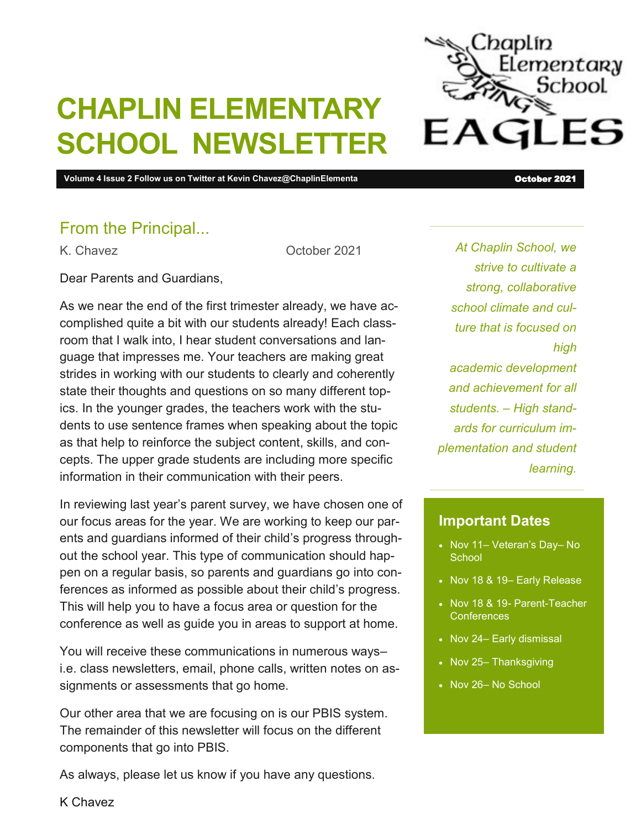

# **CHAPLIN ELEMENTARY SCHOOL NEWSLETTER**

**Volume 4 Issue 2 Follow us on Twitter at Kevin Chavez@ChaplinElementa** October 2021 **October 2021** 

### From the Principal...

K. Chavez Corober 2021

Dear Parents and Guardians,

As we near the end of the first trimester already, we have accomplished quite a bit with our students already! Each classroom that I walk into, I hear student conversations and language that impresses me. Your teachers are making great strides in working with our students to clearly and coherently state their thoughts and questions on so many different topics. In the younger grades, the teachers work with the students to use sentence frames when speaking about the topic as that help to reinforce the subject content, skills, and concepts. The upper grade students are including more specific information in their communication with their peers.

In reviewing last year's parent survey, we have chosen one of our focus areas for the year. We are working to keep our parents and guardians informed of their child's progress throughout the school year. This type of communication should happen on a regular basis, so parents and guardians go into conferences as informed as possible about their child's progress. This will help you to have a focus area or question for the conference as well as guide you in areas to support at home.

You will receive these communications in numerous ways– i.e. class newsletters, email, phone calls, written notes on assignments or assessments that go home.

Our other area that we are focusing on is our PBIS system. The remainder of this newsletter will focus on the different components that go into PBIS.

As always, please let us know if you have any questions.

*At Chaplin School, we strive to cultivate a strong, collaborative school climate and culture that is focused on high academic development and achievement for all students. – High standards for curriculum implementation and student learning.*

#### **Important Dates**

- Nov 11– Veteran's Day– No **School**
- Nov 18 & 19- Early Release
- Nov 18 & 19- Parent-Teacher **Conferences**
- Nov 24- Early dismissal
- Nov 25- Thanksgiving
- Nov 26- No School

K Chavez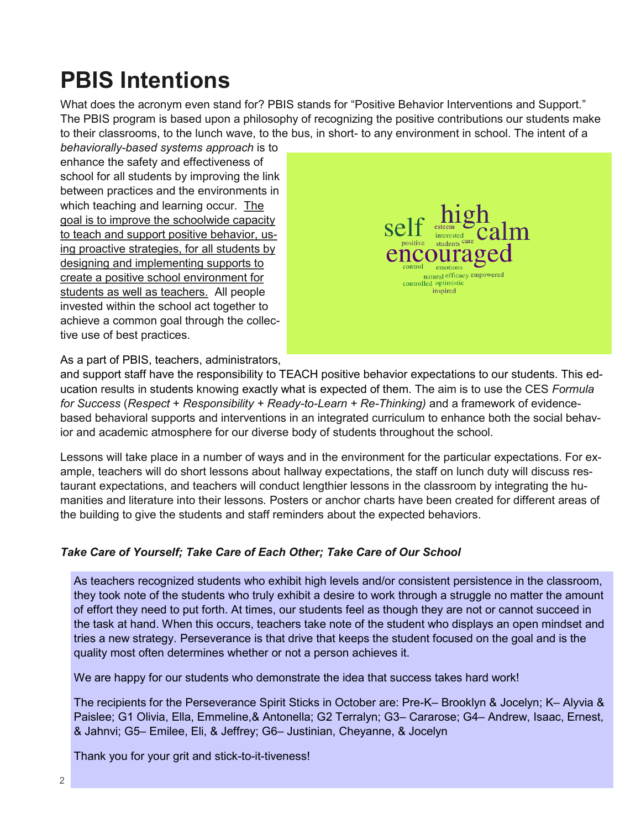## **PBIS Intentions**

What does the acronym even stand for? PBIS stands for "Positive Behavior Interventions and Support." The PBIS program is based upon a philosophy of recognizing the positive contributions our students make to their classrooms, to the lunch wave, to the bus, in short- to any environment in school. The intent of a

*behaviorally-based systems approach* is to enhance the safety and effectiveness of school for all students by improving the link between practices and the environments in which teaching and learning occur. The goal is to improve the schoolwide capacity to teach and support positive behavior, using proactive strategies, for all students by designing and implementing supports to create a positive school environment for students as well as teachers. All people invested within the school act together to achieve a common goal through the collective use of best practices.



As a part of PBIS, teachers, administrators,

and support staff have the responsibility to TEACH positive behavior expectations to our students. This education results in students knowing exactly what is expected of them. The aim is to use the CES *Formula for Success* (*Respect* + *Responsibility + Ready-to-Learn + Re-Thinking)* and a framework of evidencebased behavioral supports and interventions in an integrated curriculum to enhance both the social behavior and academic atmosphere for our diverse body of students throughout the school.

Lessons will take place in a number of ways and in the environment for the particular expectations. For example, teachers will do short lessons about hallway expectations, the staff on lunch duty will discuss restaurant expectations, and teachers will conduct lengthier lessons in the classroom by integrating the humanities and literature into their lessons. Posters or anchor charts have been created for different areas of the building to give the students and staff reminders about the expected behaviors.

#### *Take Care of Yourself; Take Care of Each Other; Take Care of Our School*

As teachers recognized students who exhibit high levels and/or consistent persistence in the classroom, they took note of the students who truly exhibit a desire to work through a struggle no matter the amount of effort they need to put forth. At times, our students feel as though they are not or cannot succeed in the task at hand. When this occurs, teachers take note of the student who displays an open mindset and tries a new strategy. Perseverance is that drive that keeps the student focused on the goal and is the quality most often determines whether or not a person achieves it.

We are happy for our students who demonstrate the idea that success takes hard work!

The recipients for the Perseverance Spirit Sticks in October are: Pre-K– Brooklyn & Jocelyn; K– Alyvia & Paislee; G1 Olivia, Ella, Emmeline,& Antonella; G2 Terralyn; G3– Cararose; G4– Andrew, Isaac, Ernest, & Jahnvi; G5– Emilee, Eli, & Jeffrey; G6– Justinian, Cheyanne, & Jocelyn

Thank you for your grit and stick-to-it-tiveness!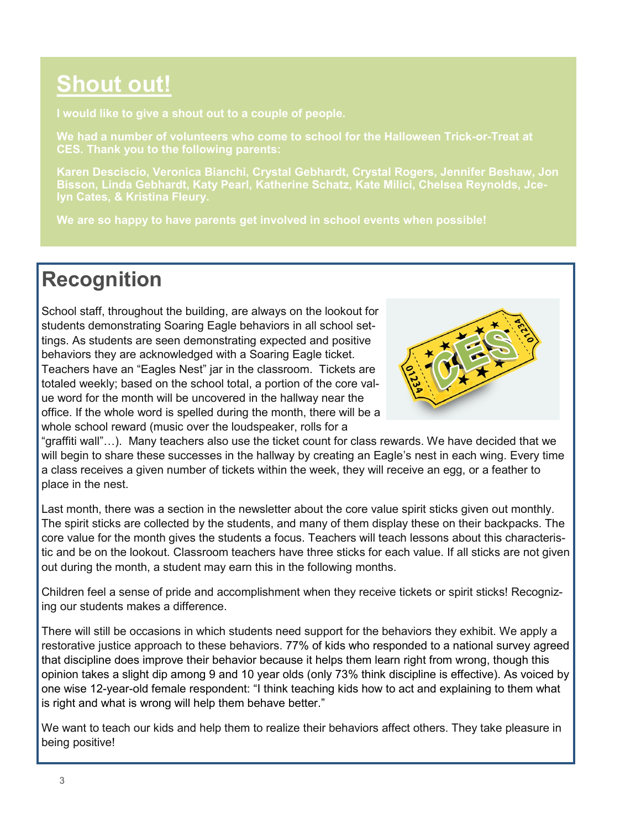### **Shout out!**

**We had a number of volunteers who come to school for the Halloween Trick-or-Treat at CES. Thank you to the following parents:**

**Karen Desciscio, Veronica Bianchi, Crystal Gebhardt, Crystal Rogers, Jennifer Beshaw, Jon** 

**We are so happy to have parents get involved in school events when possible!**

### **Recognition**

School staff, throughout the building, are always on the lookout for students demonstrating Soaring Eagle behaviors in all school settings. As students are seen demonstrating expected and positive behaviors they are acknowledged with a Soaring Eagle ticket. Teachers have an "Eagles Nest" jar in the classroom. Tickets are totaled weekly; based on the school total, a portion of the core value word for the month will be uncovered in the hallway near the office. If the whole word is spelled during the month, there will be a whole school reward (music over the loudspeaker, rolls for a



"graffiti wall"…). Many teachers also use the ticket count for class rewards. We have decided that we will begin to share these successes in the hallway by creating an Eagle's nest in each wing. Every time a class receives a given number of tickets within the week, they will receive an egg, or a feather to place in the nest.

Last month, there was a section in the newsletter about the core value spirit sticks given out monthly. The spirit sticks are collected by the students, and many of them display these on their backpacks. The core value for the month gives the students a focus. Teachers will teach lessons about this characteristic and be on the lookout. Classroom teachers have three sticks for each value. If all sticks are not given out during the month, a student may earn this in the following months.

Children feel a sense of pride and accomplishment when they receive tickets or spirit sticks! Recognizing our students makes a difference.

There will still be occasions in which students need support for the behaviors they exhibit. We apply a restorative justice approach to these behaviors. 77% of kids who responded to a national survey agreed that discipline does improve their behavior because it helps them learn right from wrong, though this opinion takes a slight dip among 9 and 10 year olds (only 73% think discipline is effective). As voiced by one wise 12-year-old female respondent: "I think teaching kids how to act and explaining to them what is right and what is wrong will help them behave better."

We want to teach our kids and help them to realize their behaviors affect others. They take pleasure in being positive!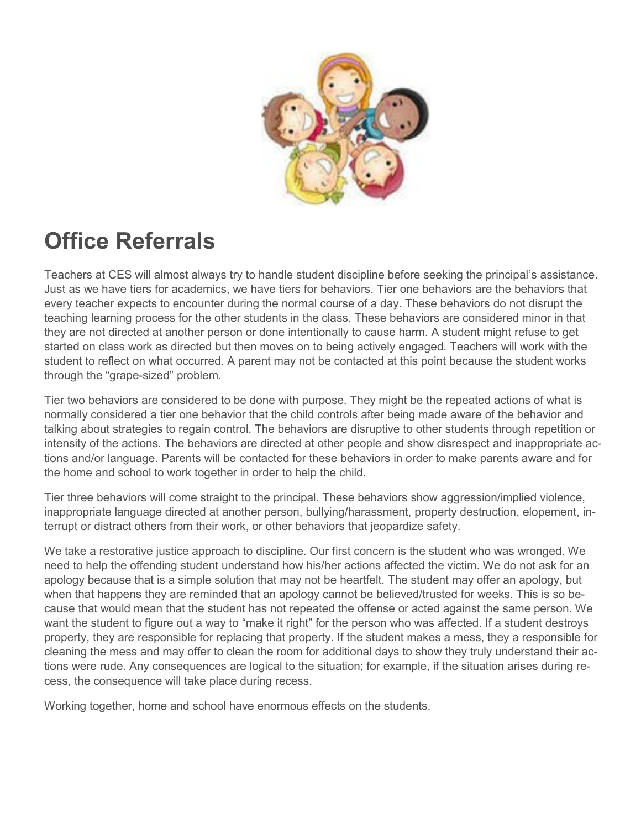

## **Office Referrals**

Teachers at CES will almost always try to handle student discipline before seeking the principal's assistance. Just as we have tiers for academics, we have tiers for behaviors. Tier one behaviors are the behaviors that every teacher expects to encounter during the normal course of a day. These behaviors do not disrupt the teaching learning process for the other students in the class. These behaviors are considered minor in that they are not directed at another person or done intentionally to cause harm. A student might refuse to get started on class work as directed but then moves on to being actively engaged. Teachers will work with the student to reflect on what occurred. A parent may not be contacted at this point because the student works through the "grape-sized" problem.

Tier two behaviors are considered to be done with purpose. They might be the repeated actions of what is normally considered a tier one behavior that the child controls after being made aware of the behavior and talking about strategies to regain control. The behaviors are disruptive to other students through repetition or intensity of the actions. The behaviors are directed at other people and show disrespect and inappropriate actions and/or language. Parents will be contacted for these behaviors in order to make parents aware and for the home and school to work together in order to help the child.

Tier three behaviors will come straight to the principal. These behaviors show aggression/implied violence, inappropriate language directed at another person, bullying/harassment, property destruction, elopement, interrupt or distract others from their work, or other behaviors that jeopardize safety.

We take a restorative justice approach to discipline. Our first concern is the student who was wronged. We need to help the offending student understand how his/her actions affected the victim. We do not ask for an apology because that is a simple solution that may not be heartfelt. The student may offer an apology, but when that happens they are reminded that an apology cannot be believed/trusted for weeks. This is so because that would mean that the student has not repeated the offense or acted against the same person. We want the student to figure out a way to "make it right" for the person who was affected. If a student destroys property, they are responsible for replacing that property. If the student makes a mess, they a responsible for cleaning the mess and may offer to clean the room for additional days to show they truly understand their actions were rude. Any consequences are logical to the situation; for example, if the situation arises during recess, the consequence will take place during recess.

Working together, home and school have enormous effects on the students.